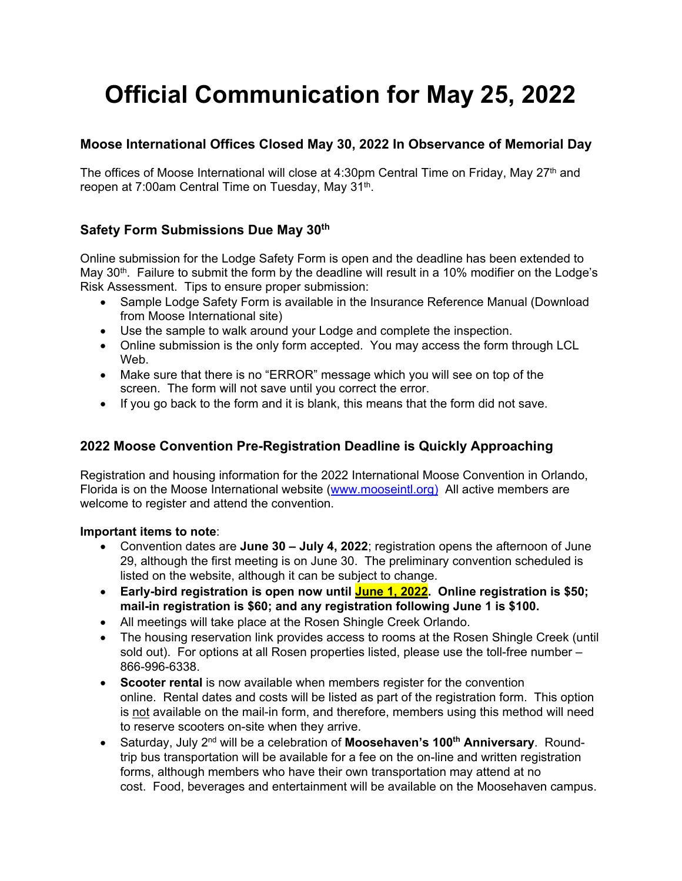# **Official Communication for May 25, 2022**

## **Moose International Offices Closed May 30, 2022 In Observance of Memorial Day**

The offices of Moose International will close at 4:30pm Central Time on Friday, May 27<sup>th</sup> and reopen at 7:00am Central Time on Tuesday, May 31<sup>th</sup>.

## **Safety Form Submissions Due May 30th**

Online submission for the Lodge Safety Form is open and the deadline has been extended to May  $30<sup>th</sup>$ . Failure to submit the form by the deadline will result in a 10% modifier on the Lodge's Risk Assessment. Tips to ensure proper submission:

- Sample Lodge Safety Form is available in the Insurance Reference Manual (Download from Moose International site)
- Use the sample to walk around your Lodge and complete the inspection.
- Online submission is the only form accepted. You may access the form through LCL Web.
- Make sure that there is no "ERROR" message which you will see on top of the screen. The form will not save until you correct the error.
- If you go back to the form and it is blank, this means that the form did not save.

# **2022 Moose Convention Pre-Registration Deadline is Quickly Approaching**

Registration and housing information for the 2022 International Moose Convention in Orlando, Florida is on the Moose International website (www.mooseintl.org) All active members are welcome to register and attend the convention.

#### **Important items to note**:

- Convention dates are **June 30 July 4, 2022**; registration opens the afternoon of June 29, although the first meeting is on June 30. The preliminary convention scheduled is listed on the website, although it can be subject to change.
- **Early-bird registration is open now until June 1, 2022. Online registration is \$50; mail-in registration is \$60; and any registration following June 1 is \$100.**
- All meetings will take place at the Rosen Shingle Creek Orlando.
- The housing reservation link provides access to rooms at the Rosen Shingle Creek (until sold out). For options at all Rosen properties listed, please use the toll-free number – 866-996-6338.
- **Scooter rental** is now available when members register for the convention online. Rental dates and costs will be listed as part of the registration form. This option is not available on the mail-in form, and therefore, members using this method will need to reserve scooters on-site when they arrive.
- Saturday, July 2nd will be a celebration of **Moosehaven's 100th Anniversary**. Roundtrip bus transportation will be available for a fee on the on-line and written registration forms, although members who have their own transportation may attend at no cost. Food, beverages and entertainment will be available on the Moosehaven campus.